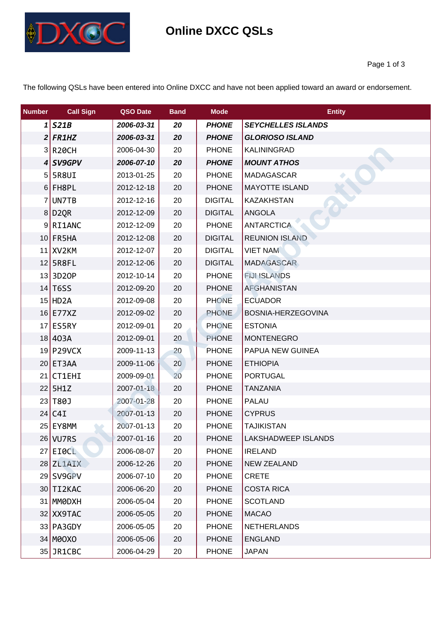

| <b>Number</b> | <b>Call Sign</b>       | QSO Date   | <b>Band</b> | <b>Mode</b>    | <b>Entity</b>             |
|---------------|------------------------|------------|-------------|----------------|---------------------------|
|               | $1$ S21B               | 2006-03-31 | 20          | <b>PHONE</b>   | <b>SEYCHELLES ISLANDS</b> |
|               | $2$ FR1HZ              | 2006-03-31 | 20          | <b>PHONE</b>   | <b>GLORIOSO ISLAND</b>    |
|               | $3$ R <sub>20</sub> CH | 2006-04-30 | 20          | <b>PHONE</b>   | <b>KALININGRAD</b>        |
|               | $4$ SV9GPV             | 2006-07-10 | 20          | <b>PHONE</b>   | <b>MOUNT ATHOS</b>        |
|               | $5$ 5R8UI              | 2013-01-25 | 20          | <b>PHONE</b>   | <b>MADAGASCAR</b>         |
|               | $6$ FH8PL              | 2012-12-18 | 20          | <b>PHONE</b>   | <b>MAYOTTE ISLAND</b>     |
|               | 7 UN7TB                | 2012-12-16 | 20          | <b>DIGITAL</b> | <b>KAZAKHSTAN</b>         |
|               | 8 D2QR                 | 2012-12-09 | 20          | <b>DIGITAL</b> | <b>ANGOLA</b>             |
|               | $9$ RI1ANC             | 2012-12-09 | 20          | <b>PHONE</b>   | <b>ANTARCTICA</b>         |
|               | $10$ FR5HA             | 2012-12-08 | 20          | <b>DIGITAL</b> | <b>REUNION ISLAND</b>     |
|               | 11 XV2KM               | 2012-12-07 | 20          | <b>DIGITAL</b> | <b>VIET NAM</b>           |
|               | $12$ 5R8FL             | 2012-12-06 | 20          | <b>DIGITAL</b> | <b>MADAGASCAR</b>         |
|               | $13$   3D20P           | 2012-10-14 | 20          | <b>PHONE</b>   | <b>FIJHSLANDS</b>         |
|               | $14$ T6SS              | 2012-09-20 | 20          | <b>PHONE</b>   | <b>AFGHANISTAN</b>        |
|               | $15$ HD <sub>2</sub> A | 2012-09-08 | 20          | <b>PHONE</b>   | <b>ECUADOR</b>            |
|               | $16$ E77XZ             | 2012-09-02 | 20          | <b>PHONE</b>   | BOSNIA-HERZEGOVINA        |
|               | $17$ ES5RY             | 2012-09-01 | 20          | <b>PHONE</b>   | <b>ESTONIA</b>            |
|               | 18 403A                | 2012-09-01 | 20          | <b>PHONE</b>   | <b>MONTENEGRO</b>         |
|               | 19 P29VCX              | 2009-11-13 | 20          | <b>PHONE</b>   | PAPUA NEW GUINEA          |
|               | 20 ET3AA               | 2009-11-06 | 20          | <b>PHONE</b>   | <b>ETHIOPIA</b>           |
|               | $21$ CT1EHI            | 2009-09-01 | 20          | <b>PHONE</b>   | <b>PORTUGAL</b>           |
|               | $22$ 5H1Z              | 2007-01-18 | 20          | <b>PHONE</b>   | <b>TANZANIA</b>           |
|               | 23 T80                 | 2007-01-28 | 20          | <b>PHONE</b>   | <b>PALAU</b>              |
|               | $24$ C4I               | 2007-01-13 | 20          | <b>PHONE</b>   | <b>CYPRUS</b>             |
|               | 25 EY8MM               | 2007-01-13 | 20          | <b>PHONE</b>   | <b>TAJIKISTAN</b>         |
|               | 26 VU7RS               | 2007-01-16 | 20          | <b>PHONE</b>   | LAKSHADWEEP ISLANDS       |
|               | $27$ EIOCL             | 2006-08-07 | 20          | <b>PHONE</b>   | <b>IRELAND</b>            |
|               | 28 ZL1AIX              | 2006-12-26 | 20          | <b>PHONE</b>   | <b>NEW ZEALAND</b>        |
|               | 29 SV9GPV              | 2006-07-10 | 20          | <b>PHONE</b>   | <b>CRETE</b>              |
|               | $30$ TI2KAC            | 2006-06-20 | 20          | <b>PHONE</b>   | <b>COSTA RICA</b>         |
|               | 31 MMODXH              | 2006-05-04 | 20          | <b>PHONE</b>   | <b>SCOTLAND</b>           |
|               | 32 XX9TAC              | 2006-05-05 | 20          | <b>PHONE</b>   | <b>MACAO</b>              |
|               | 33 PA3GDY              | 2006-05-05 | 20          | <b>PHONE</b>   | <b>NETHERLANDS</b>        |
|               | 34 MOOXO               | 2006-05-06 | 20          | <b>PHONE</b>   | <b>ENGLAND</b>            |
|               | $35$ JR1CBC            | 2006-04-29 | 20          | <b>PHONE</b>   | <b>JAPAN</b>              |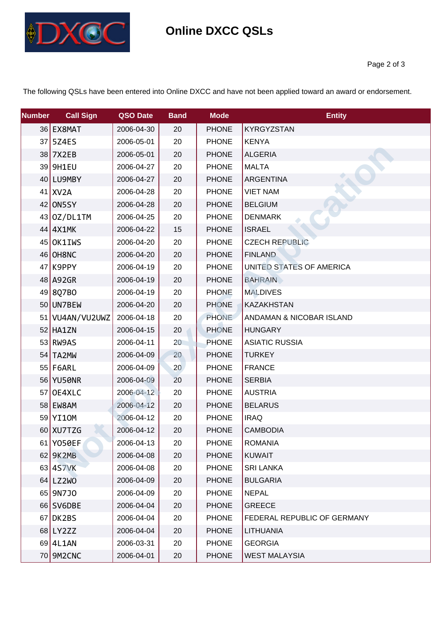

| <b>Number</b> | <b>Call Sign</b>  | QSO Date   | <b>Band</b> | <b>Mode</b>  | <b>Entity</b>               |
|---------------|-------------------|------------|-------------|--------------|-----------------------------|
|               | 36 EX8MAT         | 2006-04-30 | 20          | <b>PHONE</b> | <b>KYRGYZSTAN</b>           |
|               | 37 5Z4ES          | 2006-05-01 | 20          | <b>PHONE</b> | <b>KENYA</b>                |
|               | 38 7X2EB          | 2006-05-01 | 20          | <b>PHONE</b> | <b>ALGERIA</b>              |
|               | 39 9H1EU          | 2006-04-27 | 20          | <b>PHONE</b> | <b>MALTA</b>                |
|               | 40 LU9MBY         | 2006-04-27 | 20          | <b>PHONE</b> | <b>ARGENTINA</b>            |
|               | $41$ XV2A         | 2006-04-28 | 20          | <b>PHONE</b> | <b>VIET NAM</b>             |
|               | $42$ ON 5 SY      | 2006-04-28 | 20          | <b>PHONE</b> | <b>BELGIUM</b>              |
|               | 43 0Z/DL1TM       | 2006-04-25 | 20          | <b>PHONE</b> | <b>DENMARK</b>              |
|               | 44 4X1MK          | 2006-04-22 | 15          | <b>PHONE</b> | <b>ISRAEL</b>               |
|               | 45 OK1IWS         | 2006-04-20 | 20          | <b>PHONE</b> | <b>CZECH REPUBLIC</b>       |
|               | 46 OH8NC          | 2006-04-20 | 20          | <b>PHONE</b> | <b>FINLAND</b>              |
|               | $47$ K9PPY        | 2006-04-19 | 20          | <b>PHONE</b> | UNITED STATES OF AMERICA    |
|               | 48 A92GR          | 2006-04-19 | 20          | <b>PHONE</b> | <b>BAHRAIN</b>              |
|               | 49 8Q7BO          | 2006-04-19 | 20          | <b>PHONE</b> | <b>MALDIVES</b>             |
|               | 50 UN7BEW         | 2006-04-20 | 20          | <b>PHONE</b> | <b>KAZAKHSTAN</b>           |
|               | 51   VU4AN/VU2UWZ | 2006-04-18 | 20          | <b>PHONE</b> | ANDAMAN & NICOBAR ISLAND    |
|               | $52$ HA1ZN        | 2006-04-15 | 20          | <b>PHONE</b> | <b>HUNGARY</b>              |
|               | $53$ RW9AS        | 2006-04-11 | 20          | <b>PHONE</b> | <b>ASIATIC RUSSIA</b>       |
|               | 54 TA2MW          | 2006-04-09 | 20          | <b>PHONE</b> | <b>TURKEY</b>               |
|               | $55$ F6ARL        | 2006-04-09 | 20          | <b>PHONE</b> | <b>FRANCE</b>               |
|               | 56 YU50NR         | 2006-04-09 | 20          | <b>PHONE</b> | <b>SERBIA</b>               |
|               | 57 OE4XLC         | 2006-04-12 | 20          | <b>PHONE</b> | <b>AUSTRIA</b>              |
|               | 58 EW8AM          | 2006-04-12 | 20          | <b>PHONE</b> | <b>BELARUS</b>              |
|               | 59 YI10M          | 2006-04-12 | 20          | <b>PHONE</b> | <b>IRAQ</b>                 |
|               | 60 XU7TZG         | 2006-04-12 | 20          | <b>PHONE</b> | <b>CAMBODIA</b>             |
|               | 61 Y050EF         | 2006-04-13 | 20          | <b>PHONE</b> | <b>ROMANIA</b>              |
|               | 62 9K2MB          | 2006-04-08 | 20          | <b>PHONE</b> | <b>KUWAIT</b>               |
|               | 63 4S7VK          | 2006-04-08 | 20          | <b>PHONE</b> | <b>SRI LANKA</b>            |
|               | 64 LZ2WO          | 2006-04-09 | 20          | <b>PHONE</b> | <b>BULGARIA</b>             |
|               | 65 9N7J0          | 2006-04-09 | 20          | <b>PHONE</b> | <b>NEPAL</b>                |
|               | 66 SV6DBE         | 2006-04-04 | 20          | <b>PHONE</b> | <b>GREECE</b>               |
|               | $67$ DK2BS        | 2006-04-04 | 20          | <b>PHONE</b> | FEDERAL REPUBLIC OF GERMANY |
|               | 68 LY2ZZ          | 2006-04-04 | 20          | <b>PHONE</b> | LITHUANIA                   |
|               | 69 4L1AN          | 2006-03-31 | 20          | <b>PHONE</b> | <b>GEORGIA</b>              |
|               | 70 9M2CNC         | 2006-04-01 | 20          | <b>PHONE</b> | <b>WEST MALAYSIA</b>        |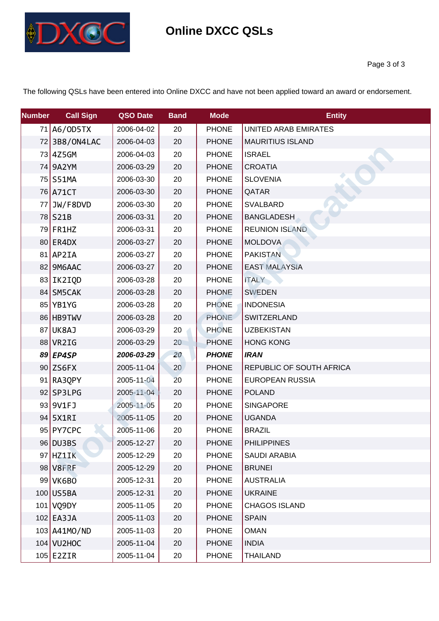

| <b>Number</b> | <b>Call Sign</b> | QSO Date   | <b>Band</b> | <b>Mode</b>  | <b>Entity</b>            |
|---------------|------------------|------------|-------------|--------------|--------------------------|
|               | 71 A6/0D5TX      | 2006-04-02 | 20          | <b>PHONE</b> | UNITED ARAB EMIRATES     |
|               | 72 3B8/0N4LAC    | 2006-04-03 | 20          | <b>PHONE</b> | <b>MAURITIUS ISLAND</b>  |
|               | 73 4Z5GM         | 2006-04-03 | 20          | <b>PHONE</b> | <b>ISRAEL</b>            |
|               | 74 9A2YM         | 2006-03-29 | 20          | <b>PHONE</b> | <b>CROATIA</b>           |
|               | 75 S51MA         | 2006-03-30 | 20          | <b>PHONE</b> | <b>SLOVENIA</b>          |
|               | 76 A71CT         | 2006-03-30 | 20          | <b>PHONE</b> | QATAR                    |
|               | 77 JW/F8DVD      | 2006-03-30 | 20          | <b>PHONE</b> | <b>SVALBARD</b>          |
|               | 78 S21B          | 2006-03-31 | 20          | <b>PHONE</b> | <b>BANGLADESH</b>        |
|               | 79 FR1HZ         | 2006-03-31 | 20          | <b>PHONE</b> | <b>REUNION ISLAND</b>    |
|               | 80 ER4DX         | 2006-03-27 | 20          | <b>PHONE</b> | <b>MOLDOVA</b>           |
|               | 81 AP2IA         | 2006-03-27 | 20          | <b>PHONE</b> | <b>PAKISTAN</b>          |
|               | 82 9M6AAC        | 2006-03-27 | 20          | <b>PHONE</b> | <b>EAST MALAYSIA</b>     |
|               | 83 IK2IQD        | 2006-03-28 | 20          | <b>PHONE</b> | <b>ITALY</b>             |
|               | 84 SM5CAK        | 2006-03-28 | 20          | <b>PHONE</b> | <b>SWEDEN</b>            |
|               | 85 YB1YG         | 2006-03-28 | 20          | <b>PHONE</b> | <b>INDONESIA</b>         |
|               | 86 HB9TWV        | 2006-03-28 | 20          | <b>PHONE</b> | SWITZERLAND              |
|               | 87 UK8AJ         | 2006-03-29 | 20          | <b>PHONE</b> | <b>UZBEKISTAN</b>        |
|               | 88 VR2IG         | 2006-03-29 | 20          | <b>PHONE</b> | <b>HONG KONG</b>         |
|               | 89 EP4SP         | 2006-03-29 | 20          | <b>PHONE</b> | <b>IRAN</b>              |
|               | $90$ ZS6FX       | 2005-11-04 | 20          | <b>PHONE</b> | REPUBLIC OF SOUTH AFRICA |
|               | 91 RA3QPY        | 2005-11-04 | 20          | <b>PHONE</b> | <b>EUROPEAN RUSSIA</b>   |
|               | $92$ SP3LPG      | 2005-11-04 | 20          | <b>PHONE</b> | <b>POLAND</b>            |
|               | 93 9V1FJ         | 2005-11-05 | 20          | <b>PHONE</b> | <b>SINGAPORE</b>         |
|               | 94 5X1RI         | 2005-11-05 | 20          | <b>PHONE</b> | <b>UGANDA</b>            |
|               | 95 PY7CPC        | 2005-11-06 | 20          | <b>PHONE</b> | <b>BRAZIL</b>            |
|               | 96 DU3BS         | 2005-12-27 | 20          | <b>PHONE</b> | <b>PHILIPPINES</b>       |
|               | 97 HZ1IK         | 2005-12-29 | 20          | <b>PHONE</b> | <b>SAUDI ARABIA</b>      |
|               | 98 V8FRF         | 2005-12-29 | 20          | <b>PHONE</b> | <b>BRUNEI</b>            |
|               | 99 VK6BO         | 2005-12-31 | 20          | <b>PHONE</b> | <b>AUSTRALIA</b>         |
|               | 100 US5BA        | 2005-12-31 | 20          | <b>PHONE</b> | <b>UKRAINE</b>           |
|               | 101 VQ9DY        | 2005-11-05 | 20          | <b>PHONE</b> | <b>CHAGOS ISLAND</b>     |
|               | $102$ EA3JA      | 2005-11-03 | 20          | <b>PHONE</b> | <b>SPAIN</b>             |
|               | 103 A41MO/ND     | 2005-11-03 | 20          | <b>PHONE</b> | <b>OMAN</b>              |
|               | 104 VU2HOC       | 2005-11-04 | 20          | <b>PHONE</b> | <b>INDIA</b>             |
|               | $105$ E2ZIR      | 2005-11-04 | 20          | <b>PHONE</b> | <b>THAILAND</b>          |